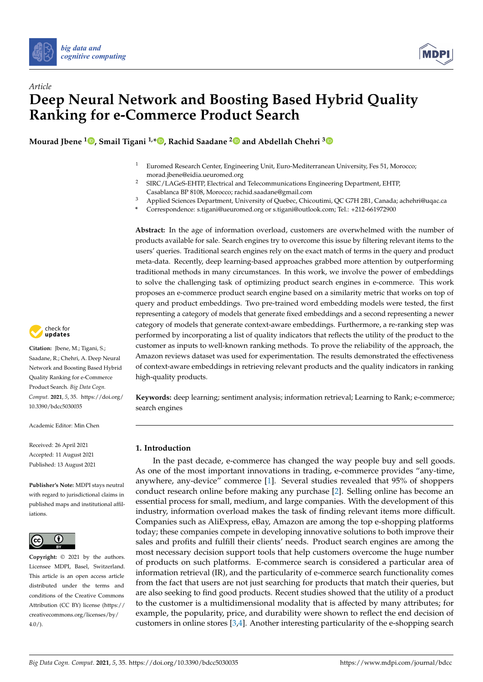



# *Article* **Deep Neural Network and Boosting Based Hybrid Quality Ranking for e-Commerce Product Search**

**Mourad Jbene <sup>1</sup> [,](https://orcid.org/0000-0001-8335-7731) Smail Tigani 1,[\\*](https://orcid.org/0000-0001-9074-4318) , Rachid Saadane [2](https://orcid.org/0000-0002-0197-8313) and Abdellah Chehri [3](https://orcid.org/0000-0002-4193-6062)**

- <sup>1</sup> Euromed Research Center, Engineering Unit, Euro-Mediterranean University, Fes 51, Morocco; morad.jbene@eidia.ueuromed.org
- <sup>2</sup> SIRC/LAGeS-EHTP, Electrical and Telecommunications Engineering Department, EHTP, Casablanca BP 8108, Morocco; rachid.saadane@gmail.com
- <sup>3</sup> Applied Sciences Department, University of Quebec, Chicoutimi, QC G7H 2B1, Canada; achehri@uqac.ca
- **\*** Correspondence: s.tigani@ueuromed.org or s.tigani@outlook.com; Tel.: +212-661972900

**Abstract:** In the age of information overload, customers are overwhelmed with the number of products available for sale. Search engines try to overcome this issue by filtering relevant items to the users' queries. Traditional search engines rely on the exact match of terms in the query and product meta-data. Recently, deep learning-based approaches grabbed more attention by outperforming traditional methods in many circumstances. In this work, we involve the power of embeddings to solve the challenging task of optimizing product search engines in e-commerce. This work proposes an e-commerce product search engine based on a similarity metric that works on top of query and product embeddings. Two pre-trained word embedding models were tested, the first representing a category of models that generate fixed embeddings and a second representing a newer category of models that generate context-aware embeddings. Furthermore, a re-ranking step was performed by incorporating a list of quality indicators that reflects the utility of the product to the customer as inputs to well-known ranking methods. To prove the reliability of the approach, the Amazon reviews dataset was used for experimentation. The results demonstrated the effectiveness of context-aware embeddings in retrieving relevant products and the quality indicators in ranking high-quality products.

**Keywords:** deep learning; sentiment analysis; information retrieval; Learning to Rank; e-commerce; search engines

# **1. Introduction**

In the past decade, e-commerce has changed the way people buy and sell goods. As one of the most important innovations in trading, e-commerce provides "any-time, anywhere, any-device" commerce [\[1\]](#page-11-0). Several studies revealed that 95% of shoppers conduct research online before making any purchase [\[2\]](#page-11-1). Selling online has become an essential process for small, medium, and large companies. With the development of this industry, information overload makes the task of finding relevant items more difficult. Companies such as AliExpress, eBay, Amazon are among the top e-shopping platforms today; these companies compete in developing innovative solutions to both improve their sales and profits and fulfill their clients' needs. Product search engines are among the most necessary decision support tools that help customers overcome the huge number of products on such platforms. E-commerce search is considered a particular area of information retrieval (IR), and the particularity of e-commerce search functionality comes from the fact that users are not just searching for products that match their queries, but are also seeking to find good products. Recent studies showed that the utility of a product to the customer is a multidimensional modality that is affected by many attributes; for example, the popularity, price, and durability were shown to reflect the end decision of customers in online stores [\[3](#page-11-2)[,4\]](#page-11-3). Another interesting particularity of the e-shopping search



**Citation:** Jbene, M.; Tigani, S.; Saadane, R.; Chehri, A. Deep Neural Network and Boosting Based Hybrid Quality Ranking for e-Commerce Product Search. *Big Data Cogn. Comput.* **2021**, *5*, 35. [https://doi.org/](https://doi.org/10.3390/bdcc5030035) [10.3390/bdcc5030035](https://doi.org/10.3390/bdcc5030035)

Academic Editor: Min Chen

Received: 26 April 2021 Accepted: 11 August 2021 Published: 13 August 2021

**Publisher's Note:** MDPI stays neutral with regard to jurisdictional claims in published maps and institutional affiliations.



**Copyright:** © 2021 by the authors. Licensee MDPI, Basel, Switzerland. This article is an open access article distributed under the terms and conditions of the Creative Commons Attribution (CC BY) license (https:/[/](https://creativecommons.org/licenses/by/4.0/) [creativecommons.org/licenses/by/](https://creativecommons.org/licenses/by/4.0/)  $4.0/$ ).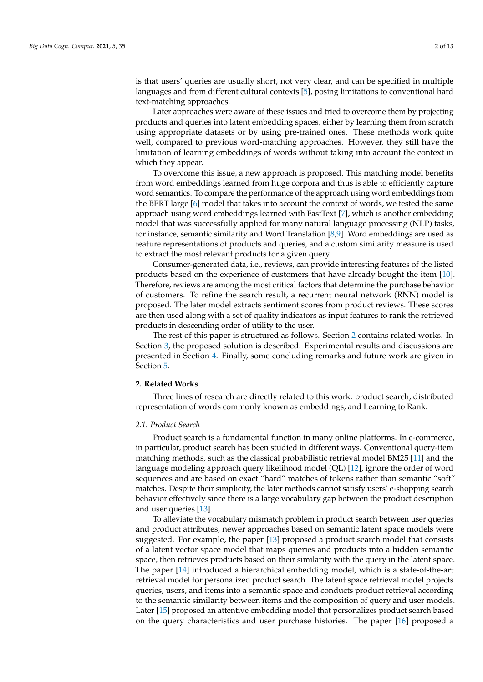is that users' queries are usually short, not very clear, and can be specified in multiple languages and from different cultural contexts [\[5\]](#page-11-4), posing limitations to conventional hard text-matching approaches.

Later approaches were aware of these issues and tried to overcome them by projecting products and queries into latent embedding spaces, either by learning them from scratch using appropriate datasets or by using pre-trained ones. These methods work quite well, compared to previous word-matching approaches. However, they still have the limitation of learning embeddings of words without taking into account the context in which they appear.

To overcome this issue, a new approach is proposed. This matching model benefits from word embeddings learned from huge corpora and thus is able to efficiently capture word semantics. To compare the performance of the approach using word embeddings from the BERT large [\[6\]](#page-11-5) model that takes into account the context of words, we tested the same approach using word embeddings learned with FastText [\[7\]](#page-11-6), which is another embedding model that was successfully applied for many natural language processing (NLP) tasks, for instance, semantic similarity and Word Translation [\[8,](#page-11-7)[9\]](#page-11-8). Word embeddings are used as feature representations of products and queries, and a custom similarity measure is used to extract the most relevant products for a given query.

Consumer-generated data, i.e., reviews, can provide interesting features of the listed products based on the experience of customers that have already bought the item [\[10\]](#page-11-9). Therefore, reviews are among the most critical factors that determine the purchase behavior of customers. To refine the search result, a recurrent neural network (RNN) model is proposed. The later model extracts sentiment scores from product reviews. These scores are then used along with a set of quality indicators as input features to rank the retrieved products in descending order of utility to the user.

The rest of this paper is structured as follows. Section [2](#page-1-0) contains related works. In Section [3,](#page-3-0) the proposed solution is described. Experimental results and discussions are presented in Section [4.](#page-6-0) Finally, some concluding remarks and future work are given in Section [5.](#page-10-0)

## <span id="page-1-0"></span>**2. Related Works**

Three lines of research are directly related to this work: product search, distributed representation of words commonly known as embeddings, and Learning to Rank.

## *2.1. Product Search*

Product search is a fundamental function in many online platforms. In e-commerce, in particular, product search has been studied in different ways. Conventional query-item matching methods, such as the classical probabilistic retrieval model BM25 [\[11\]](#page-11-10) and the language modeling approach query likelihood model (QL) [\[12\]](#page-11-11), ignore the order of word sequences and are based on exact "hard" matches of tokens rather than semantic "soft" matches. Despite their simplicity, the later methods cannot satisfy users' e-shopping search behavior effectively since there is a large vocabulary gap between the product description and user queries [\[13\]](#page-11-12).

To alleviate the vocabulary mismatch problem in product search between user queries and product attributes, newer approaches based on semantic latent space models were suggested. For example, the paper [\[13\]](#page-11-12) proposed a product search model that consists of a latent vector space model that maps queries and products into a hidden semantic space, then retrieves products based on their similarity with the query in the latent space. The paper [\[14\]](#page-11-13) introduced a hierarchical embedding model, which is a state-of-the-art retrieval model for personalized product search. The latent space retrieval model projects queries, users, and items into a semantic space and conducts product retrieval according to the semantic similarity between items and the composition of query and user models. Later [\[15\]](#page-11-14) proposed an attentive embedding model that personalizes product search based on the query characteristics and user purchase histories. The paper [\[16\]](#page-11-15) proposed a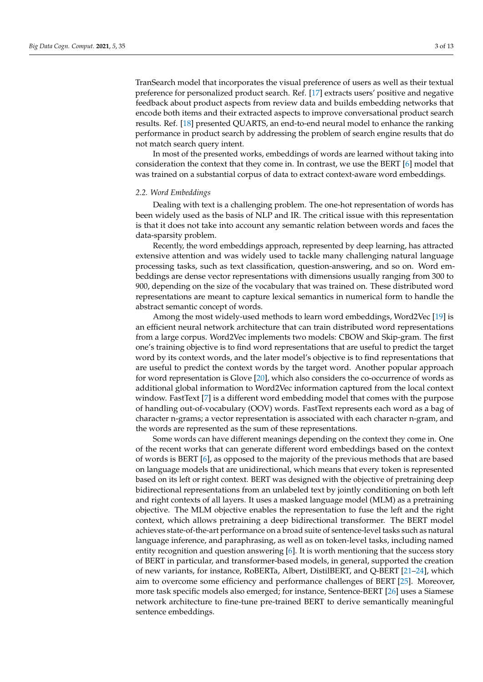TranSearch model that incorporates the visual preference of users as well as their textual preference for personalized product search. Ref. [\[17\]](#page-11-16) extracts users' positive and negative feedback about product aspects from review data and builds embedding networks that encode both items and their extracted aspects to improve conversational product search results. Ref. [\[18\]](#page-11-17) presented QUARTS, an end-to-end neural model to enhance the ranking performance in product search by addressing the problem of search engine results that do not match search query intent.

In most of the presented works, embeddings of words are learned without taking into consideration the context that they come in. In contrast, we use the BERT [\[6\]](#page-11-5) model that was trained on a substantial corpus of data to extract context-aware word embeddings.

#### *2.2. Word Embeddings*

Dealing with text is a challenging problem. The one-hot representation of words has been widely used as the basis of NLP and IR. The critical issue with this representation is that it does not take into account any semantic relation between words and faces the data-sparsity problem.

Recently, the word embeddings approach, represented by deep learning, has attracted extensive attention and was widely used to tackle many challenging natural language processing tasks, such as text classification, question-answering, and so on. Word embeddings are dense vector representations with dimensions usually ranging from 300 to 900, depending on the size of the vocabulary that was trained on. These distributed word representations are meant to capture lexical semantics in numerical form to handle the abstract semantic concept of words.

Among the most widely-used methods to learn word embeddings, Word2Vec [\[19\]](#page-11-18) is an efficient neural network architecture that can train distributed word representations from a large corpus. Word2Vec implements two models: CBOW and Skip-gram. The first one's training objective is to find word representations that are useful to predict the target word by its context words, and the later model's objective is to find representations that are useful to predict the context words by the target word. Another popular approach for word representation is Glove [\[20\]](#page-11-19), which also considers the co-occurrence of words as additional global information to Word2Vec information captured from the local context window. FastText [\[7\]](#page-11-6) is a different word embedding model that comes with the purpose of handling out-of-vocabulary (OOV) words. FastText represents each word as a bag of character n-grams; a vector representation is associated with each character n-gram, and the words are represented as the sum of these representations.

Some words can have different meanings depending on the context they come in. One of the recent works that can generate different word embeddings based on the context of words is BERT [\[6\]](#page-11-5), as opposed to the majority of the previous methods that are based on language models that are unidirectional, which means that every token is represented based on its left or right context. BERT was designed with the objective of pretraining deep bidirectional representations from an unlabeled text by jointly conditioning on both left and right contexts of all layers. It uses a masked language model (MLM) as a pretraining objective. The MLM objective enables the representation to fuse the left and the right context, which allows pretraining a deep bidirectional transformer. The BERT model achieves state-of-the-art performance on a broad suite of sentence-level tasks such as natural language inference, and paraphrasing, as well as on token-level tasks, including named entity recognition and question answering [\[6\]](#page-11-5). It is worth mentioning that the success story of BERT in particular, and transformer-based models, in general, supported the creation of new variants, for instance, RoBERTa, Albert, DistilBERT, and Q-BERT [\[21–](#page-11-20)[24\]](#page-12-0), which aim to overcome some efficiency and performance challenges of BERT [\[25\]](#page-12-1). Moreover, more task specific models also emerged; for instance, Sentence-BERT [\[26\]](#page-12-2) uses a Siamese network architecture to fine-tune pre-trained BERT to derive semantically meaningful sentence embeddings.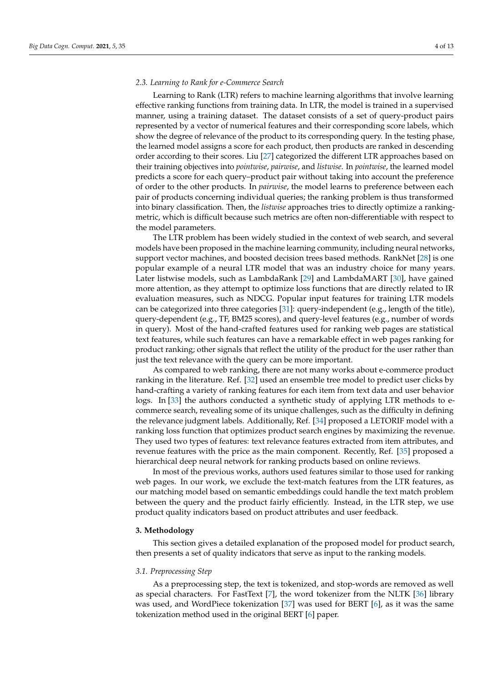## *2.3. Learning to Rank for e-Commerce Search*

Learning to Rank (LTR) refers to machine learning algorithms that involve learning effective ranking functions from training data. In LTR, the model is trained in a supervised manner, using a training dataset. The dataset consists of a set of query-product pairs represented by a vector of numerical features and their corresponding score labels, which show the degree of relevance of the product to its corresponding query. In the testing phase, the learned model assigns a score for each product, then products are ranked in descending order according to their scores. Liu [\[27\]](#page-12-3) categorized the different LTR approaches based on their training objectives into *pointwise*, *pairwise*, and *listwise*. In *pointwise*, the learned model predicts a score for each query–product pair without taking into account the preference of order to the other products. In *pairwise*, the model learns to preference between each pair of products concerning individual queries; the ranking problem is thus transformed into binary classification. Then, the *listwise* approaches tries to directly optimize a rankingmetric, which is difficult because such metrics are often non-differentiable with respect to the model parameters.

The LTR problem has been widely studied in the context of web search, and several models have been proposed in the machine learning community, including neural networks, support vector machines, and boosted decision trees based methods. RankNet [\[28\]](#page-12-4) is one popular example of a neural LTR model that was an industry choice for many years. Later listwise models, such as LambdaRank [\[29\]](#page-12-5) and LambdaMART [\[30\]](#page-12-6), have gained more attention, as they attempt to optimize loss functions that are directly related to IR evaluation measures, such as NDCG. Popular input features for training LTR models can be categorized into three categories [\[31\]](#page-12-7): query-independent (e.g., length of the title), query-dependent (e.g., TF, BM25 scores), and query-level features (e.g., number of words in query). Most of the hand-crafted features used for ranking web pages are statistical text features, while such features can have a remarkable effect in web pages ranking for product ranking; other signals that reflect the utility of the product for the user rather than just the text relevance with the query can be more important.

As compared to web ranking, there are not many works about e-commerce product ranking in the literature. Ref. [\[32\]](#page-12-8) used an ensemble tree model to predict user clicks by hand-crafting a variety of ranking features for each item from text data and user behavior logs. In [\[33\]](#page-12-9) the authors conducted a synthetic study of applying LTR methods to ecommerce search, revealing some of its unique challenges, such as the difficulty in defining the relevance judgment labels. Additionally, Ref. [\[34\]](#page-12-10) proposed a LETORIF model with a ranking loss function that optimizes product search engines by maximizing the revenue. They used two types of features: text relevance features extracted from item attributes, and revenue features with the price as the main component. Recently, Ref. [\[35\]](#page-12-11) proposed a hierarchical deep neural network for ranking products based on online reviews.

In most of the previous works, authors used features similar to those used for ranking web pages. In our work, we exclude the text-match features from the LTR features, as our matching model based on semantic embeddings could handle the text match problem between the query and the product fairly efficiently. Instead, in the LTR step, we use product quality indicators based on product attributes and user feedback.

#### <span id="page-3-0"></span>**3. Methodology**

This section gives a detailed explanation of the proposed model for product search, then presents a set of quality indicators that serve as input to the ranking models.

#### *3.1. Preprocessing Step*

As a preprocessing step, the text is tokenized, and stop-words are removed as well as special characters. For FastText [\[7\]](#page-11-6), the word tokenizer from the NLTK [\[36\]](#page-12-12) library was used, and WordPiece tokenization [\[37\]](#page-12-13) was used for BERT [\[6\]](#page-11-5), as it was the same tokenization method used in the original BERT [\[6\]](#page-11-5) paper.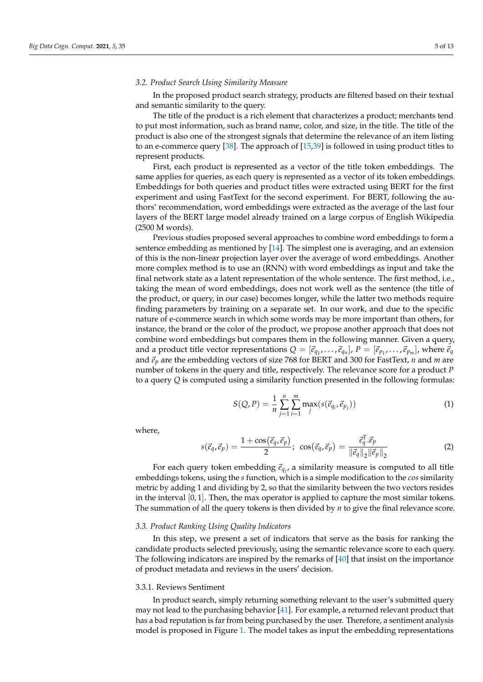#### <span id="page-4-0"></span>*3.2. Product Search Using Similarity Measure*

In the proposed product search strategy, products are filtered based on their textual and semantic similarity to the query.

The title of the product is a rich element that characterizes a product; merchants tend to put most information, such as brand name, color, and size, in the title. The title of the product is also one of the strongest signals that determine the relevance of an item listing to an e-commerce query [\[38\]](#page-12-14). The approach of [\[15](#page-11-14)[,39\]](#page-12-15) is followed in using product titles to represent products.

First, each product is represented as a vector of the title token embeddings. The same applies for queries, as each query is represented as a vector of its token embeddings. Embeddings for both queries and product titles were extracted using BERT for the first experiment and using FastText for the second experiment. For BERT, following the authors' recommendation, word embeddings were extracted as the average of the last four layers of the BERT large model already trained on a large corpus of English Wikipedia (2500 M words).

Previous studies proposed several approaches to combine word embeddings to form a sentence embedding as mentioned by [\[14\]](#page-11-13). The simplest one is averaging, and an extension of this is the non-linear projection layer over the average of word embeddings. Another more complex method is to use an (RNN) with word embeddings as input and take the final network state as a latent representation of the whole sentence. The first method, i.e., taking the mean of word embeddings, does not work well as the sentence (the title of the product, or query, in our case) becomes longer, while the latter two methods require finding parameters by training on a separate set. In our work, and due to the specific nature of e-commerce search in which some words may be more important than others, for instance, the brand or the color of the product, we propose another approach that does not combine word embeddings but compares them in the following manner. Given a query, and a product title vector representations  $Q = [\vec{e}_{q_1}, \dots, \vec{e}_{q_n}], P = [\vec{e}_{p_1}, \dots, \vec{e}_{p_m}],$  where  $\vec{e}_q$ and  $\vec{e}_p$  are the embedding vectors of size 768 for BERT and 300 for FastText, *n* and *m* are number of tokens in the query and title, respectively. The relevance score for a product *P* to a query *Q* is computed using a similarity function presented in the following formulas:

$$
S(Q, P) = \frac{1}{n} \sum_{j=1}^{n} \sum_{i=1}^{m} \max_{j} (s(\vec{e}_{q_i}, \vec{e}_{p_j}))
$$
(1)

where,

$$
s(\vec{e}_q, \vec{e}_p) = \frac{1 + \cos(\vec{e}_q, \vec{e}_p)}{2}; \ \cos(\vec{e}_q, \vec{e}_p) = \frac{\vec{e}_q^T \cdot \vec{e}_p}{\|\vec{e}_q\|_2 \|\vec{e}_p\|_2} \tag{2}
$$

For each query token embedding  $\vec{e}_{q_j}$ , a similarity measure is computed to all title embeddings tokens, using the *s* function, which is a simple modification to the *cos* similarity metric by adding 1 and dividing by 2, so that the similarity between the two vectors resides in the interval  $[0, 1]$ . Then, the max operator is applied to capture the most similar tokens. The summation of all the query tokens is then divided by *n* to give the final relevance score.

#### *3.3. Product Ranking Using Quality Indicators*

In this step, we present a set of indicators that serve as the basis for ranking the candidate products selected previously, using the semantic relevance score to each query. The following indicators are inspired by the remarks of [\[40\]](#page-12-16) that insist on the importance of product metadata and reviews in the users' decision.

#### 3.3.1. Reviews Sentiment

In product search, simply returning something relevant to the user's submitted query may not lead to the purchasing behavior [\[41\]](#page-12-17). For example, a returned relevant product that has a bad reputation is far from being purchased by the user. Therefore, a sentiment analysis model is proposed in Figure [1.](#page-5-0) The model takes as input the embedding representations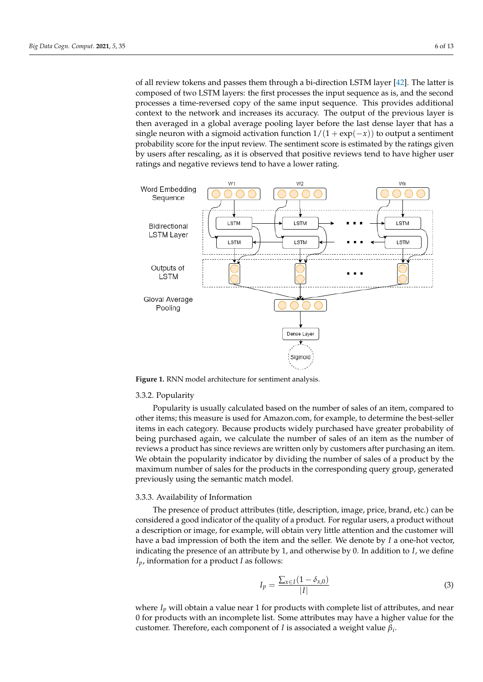of all review tokens and passes them through a bi-direction LSTM layer [\[42\]](#page-12-18). The latter is composed of two LSTM layers: the first processes the input sequence as is, and the second processes a time-reversed copy of the same input sequence. This provides additional context to the network and increases its accuracy. The output of the previous layer is then averaged in a global average pooling layer before the last dense layer that has a single neuron with a sigmoid activation function  $1/(1 + \exp(-x))$  to output a sentiment probability score for the input review. The sentiment score is estimated by the ratings given by users after rescaling, as it is observed that positive reviews tend to have higher user ratings and negative reviews tend to have a lower rating.

<span id="page-5-0"></span>

**Figure 1.** RNN model architecture for sentiment analysis.

## 3.3.2. Popularity

Popularity is usually calculated based on the number of sales of an item, compared to other items; this measure is used for Amazon.com, for example, to determine the best-seller items in each category. Because products widely purchased have greater probability of being purchased again, we calculate the number of sales of an item as the number of reviews a product has since reviews are written only by customers after purchasing an item. We obtain the popularity indicator by dividing the number of sales of a product by the maximum number of sales for the products in the corresponding query group, generated previously using the semantic match model.

#### 3.3.3. Availability of Information

The presence of product attributes (title, description, image, price, brand, etc.) can be considered a good indicator of the quality of a product. For regular users, a product without a description or image, for example, will obtain very little attention and the customer will have a bad impression of both the item and the seller. We denote by *I* a one-hot vector, indicating the presence of an attribute by 1, and otherwise by 0. In addition to *I*, we define *Ip*, information for a product *I* as follows:

$$
I_p = \frac{\sum_{x \in I} (1 - \delta_{x,0})}{|I|} \tag{3}
$$

where *I<sub>p</sub>* will obtain a value near 1 for products with complete list of attributes, and near 0 for products with an incomplete list. Some attributes may have a higher value for the customer. Therefore, each component of *I* is associated a weight value *β<sup>i</sup>* .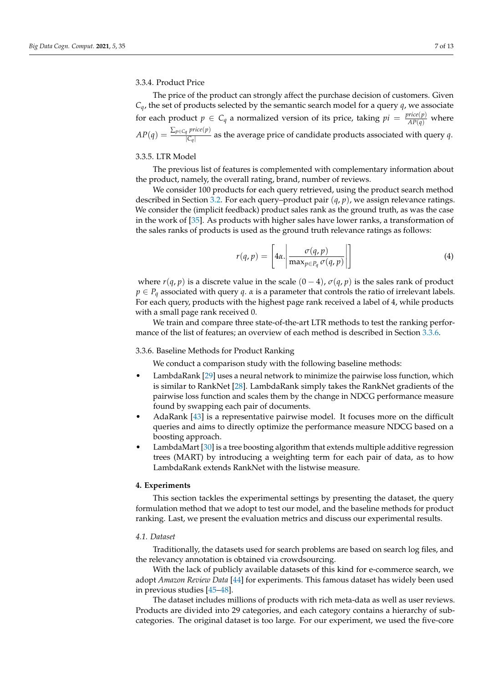## 3.3.4. Product Price

The price of the product can strongly affect the purchase decision of customers. Given  $C_q$ , the set of products selected by the semantic search model for a query  $q$ , we associate for each product  $p \in C_q$  a normalized version of its price, taking  $pi = \frac{price(p)}{AP(q)}$  where  $AP(q) = \frac{\sum_{p \in C_q} price(p)}{|C_q|}$  $\frac{q}{|C_q|}$  as the average price of candidate products associated with query *q*.

## 3.3.5. LTR Model

The previous list of features is complemented with complementary information about the product, namely, the overall rating, brand, number of reviews.

We consider 100 products for each query retrieved, using the product search method described in Section [3.2.](#page-4-0) For each query–product pair (*q*, *p*), we assign relevance ratings. We consider the (implicit feedback) product sales rank as the ground truth, as was the case in the work of [\[35\]](#page-12-11). As products with higher sales have lower ranks, a transformation of the sales ranks of products is used as the ground truth relevance ratings as follows:

$$
r(q, p) = \left[4\alpha \cdot \left| \frac{\sigma(q, p)}{\max_{p \in P_q} \sigma(q, p)} \right| \right]
$$
 (4)

where  $r(q, p)$  is a discrete value in the scale  $(0 - 4)$ ,  $\sigma(q, p)$  is the sales rank of product  $p \in P_q$  associated with query *q*. *α* is a parameter that controls the ratio of irrelevant labels. For each query, products with the highest page rank received a label of 4, while products with a small page rank received 0.

We train and compare three state-of-the-art LTR methods to test the ranking performance of the list of features; an overview of each method is described in Section [3.3.6.](#page-6-1)

# <span id="page-6-1"></span>3.3.6. Baseline Methods for Product Ranking

We conduct a comparison study with the following baseline methods:

- LambdaRank [\[29\]](#page-12-5) uses a neural network to minimize the pairwise loss function, which is similar to RankNet [\[28\]](#page-12-4). LambdaRank simply takes the RankNet gradients of the pairwise loss function and scales them by the change in NDCG performance measure found by swapping each pair of documents.
- AdaRank [\[43\]](#page-12-19) is a representative pairwise model. It focuses more on the difficult queries and aims to directly optimize the performance measure NDCG based on a boosting approach.
- LambdaMart [\[30\]](#page-12-6) is a tree boosting algorithm that extends multiple additive regression trees (MART) by introducing a weighting term for each pair of data, as to how LambdaRank extends RankNet with the listwise measure.

## <span id="page-6-0"></span>**4. Experiments**

This section tackles the experimental settings by presenting the dataset, the query formulation method that we adopt to test our model, and the baseline methods for product ranking. Last, we present the evaluation metrics and discuss our experimental results.

## *4.1. Dataset*

Traditionally, the datasets used for search problems are based on search log files, and the relevancy annotation is obtained via crowdsourcing.

With the lack of publicly available datasets of this kind for e-commerce search, we adopt *Amazon Review Data* [\[44\]](#page-12-20) for experiments. This famous dataset has widely been used in previous studies [\[45–](#page-12-21)[48\]](#page-12-22).

The dataset includes millions of products with rich meta-data as well as user reviews. Products are divided into 29 categories, and each category contains a hierarchy of subcategories. The original dataset is too large. For our experiment, we used the five-core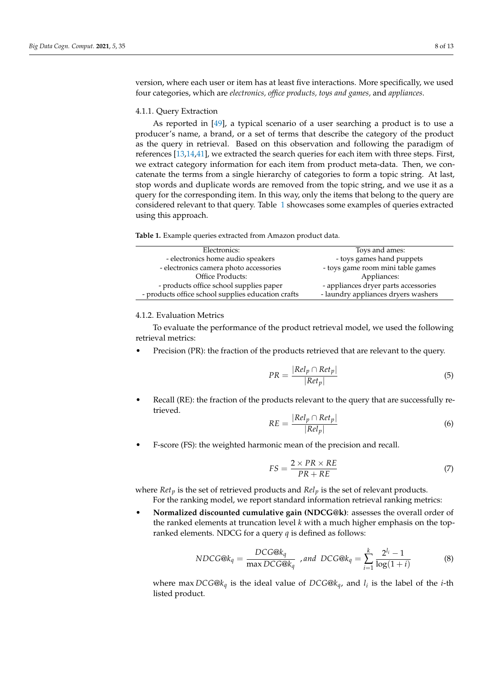version, where each user or item has at least five interactions. More specifically, we used four categories, which are *electronics, office products, toys and games,* and *appliances*.

## 4.1.1. Query Extraction

As reported in [\[49\]](#page-12-23), a typical scenario of a user searching a product is to use a producer's name, a brand, or a set of terms that describe the category of the product as the query in retrieval. Based on this observation and following the paradigm of references [\[13](#page-11-12)[,14](#page-11-13)[,41\]](#page-12-17), we extracted the search queries for each item with three steps. First, we extract category information for each item from product meta-data. Then, we concatenate the terms from a single hierarchy of categories to form a topic string. At last, stop words and duplicate words are removed from the topic string, and we use it as a query for the corresponding item. In this way, only the items that belong to the query are considered relevant to that query. Table [1](#page-7-0) showcases some examples of queries extracted using this approach.

<span id="page-7-0"></span>**Table 1.** Example queries extracted from Amazon product data.

| Electronics:                                       | Toys and ames:                       |  |  |
|----------------------------------------------------|--------------------------------------|--|--|
| - electronics home audio speakers                  | - toys games hand puppets            |  |  |
| - electronics camera photo accessories             | - toys game room mini table games    |  |  |
| Office Products:                                   | Appliances:                          |  |  |
| - products office school supplies paper            | - appliances dryer parts accessories |  |  |
| - products office school supplies education crafts | - laundry appliances dryers washers  |  |  |

#### 4.1.2. Evaluation Metrics

To evaluate the performance of the product retrieval model, we used the following retrieval metrics:

Precision (PR): the fraction of the products retrieved that are relevant to the query.

$$
PR = \frac{|Rel_p \cap Ret_p|}{|Ret_p|} \tag{5}
$$

• Recall (RE): the fraction of the products relevant to the query that are successfully retrieved.

$$
RE = \frac{|Rel_p \cap Ret_p|}{|Rel_p|} \tag{6}
$$

• F-score (FS): the weighted harmonic mean of the precision and recall.

$$
FS = \frac{2 \times PR \times RE}{PR + RE} \tag{7}
$$

where *Ret<sup>p</sup>* is the set of retrieved products and *Rel<sup>p</sup>* is the set of relevant products.

For the ranking model, we report standard information retrieval ranking metrics:

• **Normalized discounted cumulative gain (NDCG@k)**: assesses the overall order of the ranked elements at truncation level *k* with a much higher emphasis on the topranked elements. NDCG for a query *q* is defined as follows:

$$
NDCG@k_q = \frac{DCG@k_q}{\max DCG@k_q}, \text{ and } DCG@k_q = \sum_{i=1}^{k} \frac{2^{l_i} - 1}{\log(1+i)} \tag{8}
$$

where max *DCG*@*k<sup>q</sup>* is the ideal value of *DCG*@*kq*, and *l<sup>i</sup>* is the label of the *i*-th listed product.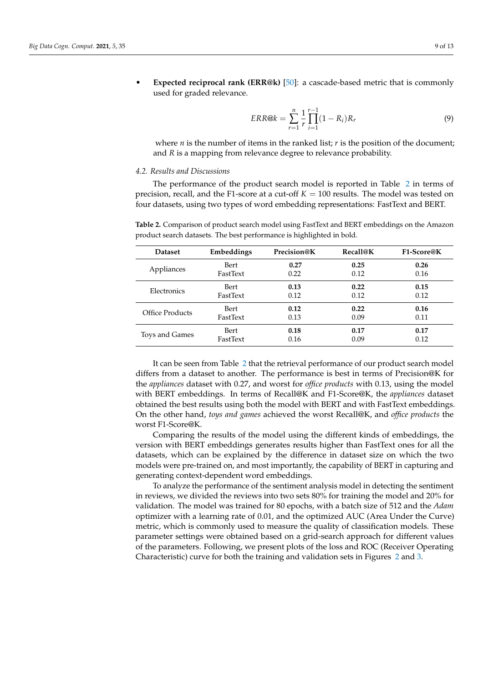• **Expected reciprocal rank (ERR@k)** [\[50\]](#page-12-24): a cascade-based metric that is commonly used for graded relevance.

$$
ERR@k = \sum_{r=1}^{n} \frac{1}{r} \prod_{i=1}^{r-1} (1 - R_i) R_r
$$
\n(9)

where  $n$  is the number of items in the ranked list;  $r$  is the position of the document; and *R* is a mapping from relevance degree to relevance probability.

#### *4.2. Results and Discussions*

The performance of the product search model is reported in Table [2](#page-8-0) in terms of precision, recall, and the F1-score at a cut-off  $K = 100$  results. The model was tested on four datasets, using two types of word embedding representations: FastText and BERT.

| <b>Dataset</b>  | Embeddings  | Precision@K | Recall@K | F1-Score@K |
|-----------------|-------------|-------------|----------|------------|
| Appliances      | Bert        | 0.27        | 0.25     | 0.26       |
|                 | FastText    | 0.22        | 0.12     | 0.16       |
| Electronics     | Bert        | 0.13        | 0.22     | 0.15       |
|                 | FastText    | 0.12        | 0.12     | 0.12       |
| Office Products | <b>Bert</b> | 0.12        | 0.22     | 0.16       |
|                 | FastText    | 0.13        | 0.09     | 0.11       |
| Toys and Games  | Bert        | 0.18        | 0.17     | 0.17       |
|                 | FastText    | 0.16        | 0.09     | 0.12       |

<span id="page-8-0"></span>**Table 2.** Comparison of product search model using FastText and BERT embeddings on the Amazon product search datasets. The best performance is highlighted in bold.

It can be seen from Table [2](#page-8-0) that the retrieval performance of our product search model differs from a dataset to another. The performance is best in terms of Precision@K for the *appliances* dataset with 0.27, and worst for *office products* with 0.13, using the model with BERT embeddings. In terms of Recall@K and F1-Score@K, the *appliances* dataset obtained the best results using both the model with BERT and with FastText embeddings. On the other hand, *toys and games* achieved the worst Recall@K, and *office products* the worst F1-Score@K.

Comparing the results of the model using the different kinds of embeddings, the version with BERT embeddings generates results higher than FastText ones for all the datasets, which can be explained by the difference in dataset size on which the two models were pre-trained on, and most importantly, the capability of BERT in capturing and generating context-dependent word embeddings.

To analyze the performance of the sentiment analysis model in detecting the sentiment in reviews, we divided the reviews into two sets 80% for training the model and 20% for validation. The model was trained for 80 epochs, with a batch size of 512 and the *Adam* optimizer with a learning rate of 0.01, and the optimized AUC (Area Under the Curve) metric, which is commonly used to measure the quality of classification models. These parameter settings were obtained based on a grid-search approach for different values of the parameters. Following, we present plots of the loss and ROC (Receiver Operating Characteristic) curve for both the training and validation sets in Figures [2](#page-9-0) and [3.](#page-9-1)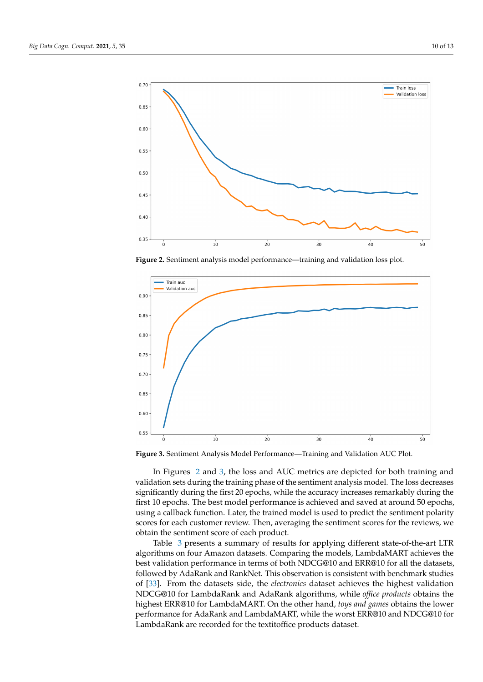<span id="page-9-0"></span>

**Figure 2.** Sentiment analysis model performance—training and validation loss plot.

<span id="page-9-1"></span>

**Figure 3.** Sentiment Analysis Model Performance—Training and Validation AUC Plot.

In Figures [2](#page-9-0) and [3,](#page-9-1) the loss and AUC metrics are depicted for both training and validation sets during the training phase of the sentiment analysis model. The loss decreases significantly during the first 20 epochs, while the accuracy increases remarkably during the first 10 epochs. The best model performance is achieved and saved at around 50 epochs, using a callback function. Later, the trained model is used to predict the sentiment polarity scores for each customer review. Then, averaging the sentiment scores for the reviews, we obtain the sentiment score of each product.

Table [3](#page-10-1) presents a summary of results for applying different state-of-the-art LTR algorithms on four Amazon datasets. Comparing the models, LambdaMART achieves the best validation performance in terms of both NDCG@10 and ERR@10 for all the datasets, followed by AdaRank and RankNet. This observation is consistent with benchmark studies of [\[33\]](#page-12-9). From the datasets side, the *electronics* dataset achieves the highest validation NDCG@10 for LambdaRank and AdaRank algorithms, while *office products* obtains the highest ERR@10 for LambdaMART. On the other hand, *toys and games* obtains the lower performance for AdaRank and LambdaMART, while the worst ERR@10 and NDCG@10 for LambdaRank are recorded for the textitoffice products dataset.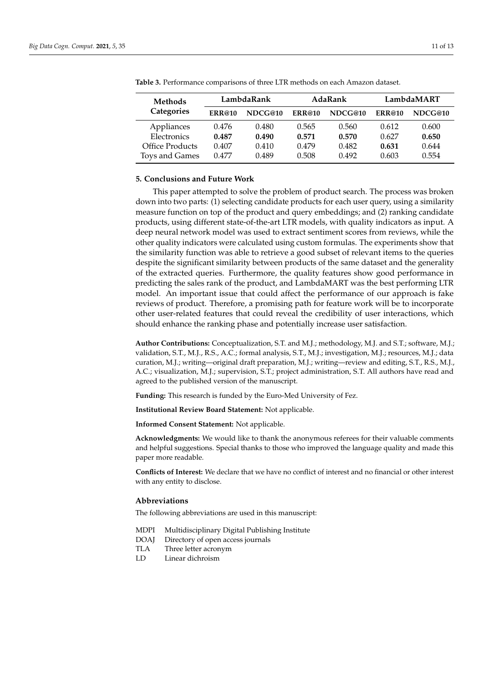| <b>Methods</b><br>Categories          | LambdaRank     |                | AdaRank        |                | LambdaMART     |                |
|---------------------------------------|----------------|----------------|----------------|----------------|----------------|----------------|
|                                       | <b>ERR@10</b>  | NDCG@10        | <b>ERR@10</b>  | NDCG@10        | <b>ERR@10</b>  | NDCG@10        |
| Appliances                            | 0.476          | 0.480          | 0.565          | 0.560          | 0.612          | 0.600          |
| Electronics<br><b>Office Products</b> | 0.487<br>0.407 | 0.490<br>0.410 | 0.571<br>0.479 | 0.570<br>0.482 | 0.627<br>0.631 | 0.650<br>0.644 |
| Toys and Games                        | 0.477          | 0.489          | 0.508          | 0.492          | 0.603          | 0.554          |

<span id="page-10-1"></span>**Table 3.** Performance comparisons of three LTR methods on each Amazon dataset.

#### <span id="page-10-0"></span>**5. Conclusions and Future Work**

This paper attempted to solve the problem of product search. The process was broken down into two parts: (1) selecting candidate products for each user query, using a similarity measure function on top of the product and query embeddings; and (2) ranking candidate products, using different state-of-the-art LTR models, with quality indicators as input. A deep neural network model was used to extract sentiment scores from reviews, while the other quality indicators were calculated using custom formulas. The experiments show that the similarity function was able to retrieve a good subset of relevant items to the queries despite the significant similarity between products of the same dataset and the generality of the extracted queries. Furthermore, the quality features show good performance in predicting the sales rank of the product, and LambdaMART was the best performing LTR model. An important issue that could affect the performance of our approach is fake reviews of product. Therefore, a promising path for feature work will be to incorporate other user-related features that could reveal the credibility of user interactions, which should enhance the ranking phase and potentially increase user satisfaction.

**Author Contributions:** Conceptualization, S.T. and M.J.; methodology, M.J. and S.T.; software, M.J.; validation, S.T., M.J., R.S., A.C.; formal analysis, S.T., M.J.; investigation, M.J.; resources, M.J.; data curation, M.J.; writing—original draft preparation, M.J.; writing—review and editing, S.T., R.S., M.J., A.C.; visualization, M.J.; supervision, S.T.; project administration, S.T. All authors have read and agreed to the published version of the manuscript.

**Funding:** This research is funded by the Euro-Med University of Fez.

**Institutional Review Board Statement:** Not applicable.

**Informed Consent Statement:** Not applicable.

**Acknowledgments:** We would like to thank the anonymous referees for their valuable comments and helpful suggestions. Special thanks to those who improved the language quality and made this paper more readable.

**Conflicts of Interest:** We declare that we have no conflict of interest and no financial or other interest with any entity to disclose.

#### **Abbreviations**

The following abbreviations are used in this manuscript:

- MDPI Multidisciplinary Digital Publishing Institute<br>DOAI Directory of open access journals
- Directory of open access journals
- TLA Three letter acronym
- LD Linear dichroism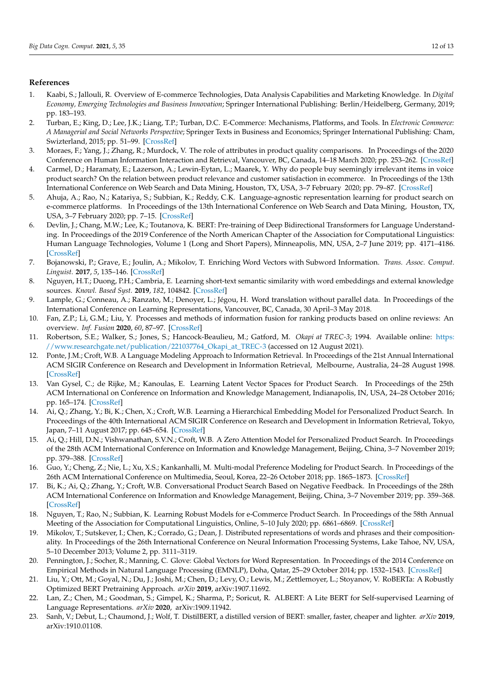## **References**

- <span id="page-11-0"></span>1. Kaabi, S.; Jallouli, R. Overview of E-commerce Technologies, Data Analysis Capabilities and Marketing Knowledge. In *Digital Economy, Emerging Technologies and Business Innovation*; Springer International Publishing: Berlin/Heidelberg, Germany, 2019; pp. 183–193.
- <span id="page-11-1"></span>2. Turban, E.; King, D.; Lee, J.K.; Liang, T.P.; Turban, D.C. E-Commerce: Mechanisms, Platforms, and Tools. In *Electronic Commerce: A Managerial and Social Networks Perspective*; Springer Texts in Business and Economics; Springer International Publishing: Cham, Swizterland, 2015; pp. 51–99. [\[CrossRef\]](http://doi.org/10.1007/978-3-319-10091-3_2)
- <span id="page-11-2"></span>3. Moraes, F.; Yang, J.; Zhang, R.; Murdock, V. The role of attributes in product quality comparisons. In Proceedings of the 2020 Conference on Human Information Interaction and Retrieval, Vancouver, BC, Canada, 14–18 March 2020; pp. 253–262. [\[CrossRef\]](http://dx.doi.org/10.1145/3343413.3377956)
- <span id="page-11-3"></span>4. Carmel, D.; Haramaty, E.; Lazerson, A.; Lewin-Eytan, L.; Maarek, Y. Why do people buy seemingly irrelevant items in voice product search? On the relation between product relevance and customer satisfaction in ecommerce. In Proceedings of the 13th International Conference on Web Search and Data Mining, Houston, TX, USA, 3–7 February 2020; pp. 79–87. [\[CrossRef\]](http://dx.doi.org/10.1145/3336191.3371780)
- <span id="page-11-4"></span>5. Ahuja, A.; Rao, N.; Katariya, S.; Subbian, K.; Reddy, C.K. Language-agnostic representation learning for product search on e-commerce platforms. In Proceedings of the 13th International Conference on Web Search and Data Mining, Houston, TX, USA, 3–7 February 2020; pp. 7–15. [\[CrossRef\]](http://dx.doi.org/10.1145/3336191.3371852)
- <span id="page-11-5"></span>6. Devlin, J.; Chang, M.W.; Lee, K.; Toutanova, K. BERT: Pre-training of Deep Bidirectional Transformers for Language Understanding. In Proceedings of the 2019 Conference of the North American Chapter of the Association for Computational Linguistics: Human Language Technologies, Volume 1 (Long and Short Papers), Minneapolis, MN, USA, 2–7 June 2019; pp. 4171–4186. [\[CrossRef\]](http://dx.doi.org/10.18653/v1/N19-1423)
- <span id="page-11-6"></span>7. Bojanowski, P.; Grave, E.; Joulin, A.; Mikolov, T. Enriching Word Vectors with Subword Information. *Trans. Assoc. Comput. Linguist.* **2017**, *5*, 135–146. [\[CrossRef\]](http://dx.doi.org/10.1162/tacl_a_00051)
- <span id="page-11-7"></span>8. Nguyen, H.T.; Duong, P.H.; Cambria, E. Learning short-text semantic similarity with word embeddings and external knowledge sources. *Knowl. Based Syst.* **2019**, *182*, 104842. [\[CrossRef\]](http://dx.doi.org/10.1016/j.knosys.2019.07.013)
- <span id="page-11-8"></span>9. Lample, G.; Conneau, A.; Ranzato, M.; Denoyer, L.; Jégou, H. Word translation without parallel data. In Proceedings of the International Conference on Learning Representations, Vancouver, BC, Canada, 30 April–3 May 2018.
- <span id="page-11-9"></span>10. Fan, Z.P.; Li, G.M.; Liu, Y. Processes and methods of information fusion for ranking products based on online reviews: An overview. *Inf. Fusion* **2020**, *60*, 87–97. [\[CrossRef\]](http://dx.doi.org/10.1016/j.inffus.2020.02.007)
- <span id="page-11-10"></span>11. Robertson, S.E.; Walker, S.; Jones, S.; Hancock-Beaulieu, M.; Gatford, M. *Okapi at TREC-3*; 1994. Available online: [https:](https://www.researchgate.net/publication/221037764_Okapi_at_TREC-3) [//www.researchgate.net/publication/221037764\\_Okapi\\_at\\_TREC-3](https://www.researchgate.net/publication/221037764_Okapi_at_TREC-3) (accessed on 12 August 2021).
- <span id="page-11-11"></span>12. Ponte, J.M.; Croft, W.B. A Language Modeling Approach to Information Retrieval. In Proceedings of the 21st Annual International ACM SIGIR Conference on Research and Development in Information Retrieval, Melbourne, Australia, 24–28 August 1998. [\[CrossRef\]](http://dx.doi.org/10.1145/3130348.3130368)
- <span id="page-11-12"></span>13. Van Gysel, C.; de Rijke, M.; Kanoulas, E. Learning Latent Vector Spaces for Product Search. In Proceedings of the 25th ACM International on Conference on Information and Knowledge Management, Indianapolis, IN, USA, 24–28 October 2016; pp. 165–174. [\[CrossRef\]](http://dx.doi.org/10.1145/2983323.2983702)
- <span id="page-11-13"></span>14. Ai, Q.; Zhang, Y.; Bi, K.; Chen, X.; Croft, W.B. Learning a Hierarchical Embedding Model for Personalized Product Search. In Proceedings of the 40th International ACM SIGIR Conference on Research and Development in Information Retrieval, Tokyo, Japan, 7–11 August 2017; pp. 645–654. [\[CrossRef\]](http://dx.doi.org/10.1145/3077136.3080813)
- <span id="page-11-14"></span>15. Ai, Q.; Hill, D.N.; Vishwanathan, S.V.N.; Croft, W.B. A Zero Attention Model for Personalized Product Search. In Proceedings of the 28th ACM International Conference on Information and Knowledge Management, Beijing, China, 3–7 November 2019; pp. 379–388. [\[CrossRef\]](http://dx.doi.org/10.1145/3357384.3357980)
- <span id="page-11-15"></span>16. Guo, Y.; Cheng, Z.; Nie, L.; Xu, X.S.; Kankanhalli, M. Multi-modal Preference Modeling for Product Search. In Proceedings of the 26th ACM International Conference on Multimedia, Seoul, Korea, 22–26 October 2018; pp. 1865–1873. [\[CrossRef\]](http://dx.doi.org/10.1145/3240508.3240541)
- <span id="page-11-16"></span>17. Bi, K.; Ai, Q.; Zhang, Y.; Croft, W.B. Conversational Product Search Based on Negative Feedback. In Proceedings of the 28th ACM International Conference on Information and Knowledge Management, Beijing, China, 3–7 November 2019; pp. 359–368. [\[CrossRef\]](http://dx.doi.org/10.1145/3357384.3357939)
- <span id="page-11-17"></span>18. Nguyen, T.; Rao, N.; Subbian, K. Learning Robust Models for e-Commerce Product Search. In Proceedings of the 58th Annual Meeting of the Association for Computational Linguistics, Online, 5–10 July 2020; pp. 6861–6869. [\[CrossRef\]](http://dx.doi.org/10.18653/v1/2020.acl-main.614)
- <span id="page-11-18"></span>19. Mikolov, T.; Sutskever, I.; Chen, K.; Corrado, G.; Dean, J. Distributed representations of words and phrases and their compositionality. In Proceedings of the 26th International Conference on Neural Information Processing Systems, Lake Tahoe, NV, USA, 5–10 December 2013; Volume 2, pp. 3111–3119.
- <span id="page-11-19"></span>20. Pennington, J.; Socher, R.; Manning, C. Glove: Global Vectors for Word Representation. In Proceedings of the 2014 Conference on Empirical Methods in Natural Language Processing (EMNLP), Doha, Qatar, 25–29 October 2014; pp. 1532–1543. [\[CrossRef\]](http://dx.doi.org/10.3115/v1/D14-1162)
- <span id="page-11-20"></span>21. Liu, Y.; Ott, M.; Goyal, N.; Du, J.; Joshi, M.; Chen, D.; Levy, O.; Lewis, M.; Zettlemoyer, L.; Stoyanov, V. RoBERTa: A Robustly Optimized BERT Pretraining Approach. *arXiv* **2019**, arXiv:1907.11692.
- 22. Lan, Z.; Chen, M.; Goodman, S.; Gimpel, K.; Sharma, P.; Soricut, R. ALBERT: A Lite BERT for Self-supervised Learning of Language Representations. *arXiv* **2020**, arXiv:1909.11942.
- 23. Sanh, V.; Debut, L.; Chaumond, J.; Wolf, T. DistilBERT, a distilled version of BERT: smaller, faster, cheaper and lighter. *arXiv* **2019**, arXiv:1910.01108.